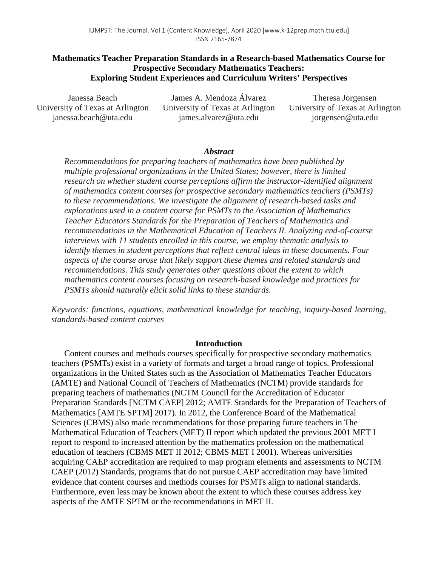# **Mathematics Teacher Preparation Standards in a Research-based Mathematics Course for Prospective Secondary Mathematics Teachers: Exploring Student Experiences and Curriculum Writers' Perspectives**

Janessa Beach University of Texas at Arlington janessa.beach@uta.edu

James A. Mendoza Álvarez University of Texas at Arlington james.alvarez@uta.edu

Theresa Jorgensen University of Texas at Arlington jorgensen@uta.edu

## *Abstract*

*Recommendations for preparing teachers of mathematics have been published by multiple professional organizations in the United States; however, there is limited research on whether student course perceptions affirm the instructor-identified alignment of mathematics content courses for prospective secondary mathematics teachers (PSMTs) to these recommendations. We investigate the alignment of research-based tasks and explorations used in a content course for PSMTs to the Association of Mathematics Teacher Educators Standards for the Preparation of Teachers of Mathematics and recommendations in the Mathematical Education of Teachers II. Analyzing end-of-course interviews with 11 students enrolled in this course, we employ thematic analysis to identify themes in student perceptions that reflect central ideas in these documents. Four aspects of the course arose that likely support these themes and related standards and recommendations. This study generates other questions about the extent to which mathematics content courses focusing on research-based knowledge and practices for PSMTs should naturally elicit solid links to these standards.*

*Keywords: functions, equations, mathematical knowledge for teaching, inquiry-based learning, standards-based content courses*

### **Introduction**

Content courses and methods courses specifically for prospective secondary mathematics teachers (PSMTs) exist in a variety of formats and target a broad range of topics. Professional organizations in the United States such as the Association of Mathematics Teacher Educators (AMTE) and National Council of Teachers of Mathematics (NCTM) provide standards for preparing teachers of mathematics (NCTM Council for the Accreditation of Educator Preparation Standards [NCTM CAEP] 2012; AMTE Standards for the Preparation of Teachers of Mathematics [AMTE SPTM] 2017). In 2012, the Conference Board of the Mathematical Sciences (CBMS) also made recommendations for those preparing future teachers in The Mathematical Education of Teachers (MET) II report which updated the previous 2001 MET I report to respond to increased attention by the mathematics profession on the mathematical education of teachers (CBMS MET II 2012; CBMS MET I 2001). Whereas universities acquiring CAEP accreditation are required to map program elements and assessments to NCTM CAEP (2012) Standards, programs that do not pursue CAEP accreditation may have limited evidence that content courses and methods courses for PSMTs align to national standards. Furthermore, even less may be known about the extent to which these courses address key aspects of the AMTE SPTM or the recommendations in MET II.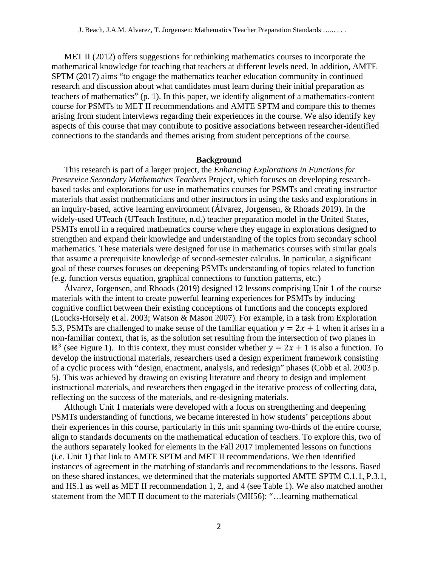MET II (2012) offers suggestions for rethinking mathematics courses to incorporate the mathematical knowledge for teaching that teachers at different levels need. In addition, AMTE SPTM (2017) aims "to engage the mathematics teacher education community in continued research and discussion about what candidates must learn during their initial preparation as teachers of mathematics" (p. 1). In this paper, we identify alignment of a mathematics-content course for PSMTs to MET II recommendations and AMTE SPTM and compare this to themes arising from student interviews regarding their experiences in the course. We also identify key aspects of this course that may contribute to positive associations between researcher-identified connections to the standards and themes arising from student perceptions of the course.

#### **Background**

This research is part of a larger project, the *Enhancing Explorations in Functions for Preservice Secondary Mathematics Teachers* Project, which focuses on developing researchbased tasks and explorations for use in mathematics courses for PSMTs and creating instructor materials that assist mathematicians and other instructors in using the tasks and explorations in an inquiry-based, active learning environment (Álvarez, Jorgensen, & Rhoads 2019). In the widely-used UTeach (UTeach Institute, n.d.) teacher preparation model in the United States, PSMTs enroll in a required mathematics course where they engage in explorations designed to strengthen and expand their knowledge and understanding of the topics from secondary school mathematics. These materials were designed for use in mathematics courses with similar goals that assume a prerequisite knowledge of second-semester calculus. In particular, a significant goal of these courses focuses on deepening PSMTs understanding of topics related to function (e.g. function versus equation, graphical connections to function patterns, etc.)

Álvarez, Jorgensen, and Rhoads (2019) designed 12 lessons comprising Unit 1 of the course materials with the intent to create powerful learning experiences for PSMTs by inducing cognitive conflict between their existing conceptions of functions and the concepts explored (Loucks-Horsely et al. 2003; Watson & Mason 2007). For example, in a task from Exploration 5.3, PSMTs are challenged to make sense of the familiar equation  $y = 2x + 1$  when it arises in a non-familiar context, that is, as the solution set resulting from the intersection of two planes in  $\mathbb{R}^3$  (see Figure 1). In this context, they must consider whether  $y = 2x + 1$  is also a function. To develop the instructional materials, researchers used a design experiment framework consisting of a cyclic process with "design, enactment, analysis, and redesign" phases (Cobb et al. 2003 p. 5). This was achieved by drawing on existing literature and theory to design and implement instructional materials, and researchers then engaged in the iterative process of collecting data, reflecting on the success of the materials, and re-designing materials.

Although Unit 1 materials were developed with a focus on strengthening and deepening PSMTs understanding of functions, we became interested in how students' perceptions about their experiences in this course, particularly in this unit spanning two-thirds of the entire course, align to standards documents on the mathematical education of teachers. To explore this, two of the authors separately looked for elements in the Fall 2017 implemented lessons on functions (i.e. Unit 1) that link to AMTE SPTM and MET II recommendations. We then identified instances of agreement in the matching of standards and recommendations to the lessons. Based on these shared instances, we determined that the materials supported AMTE SPTM C.1.1, P.3.1, and HS.1 as well as MET II recommendation 1, 2, and 4 (see Table 1). We also matched another statement from the MET II document to the materials (MII56): "…learning mathematical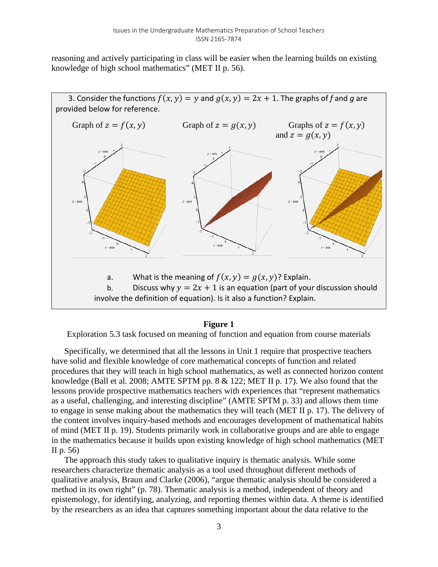reasoning and actively participating in class will be easier when the learning builds on existing knowledge of high school mathematics" (MET II p. 56).



### **Figure 1**

Exploration 5.3 task focused on meaning of function and equation from course material*s*

Specifically, we determined that all the lessons in Unit 1 require that prospective teachers have solid and flexible knowledge of core mathematical concepts of function and related procedures that they will teach in high school mathematics, as well as connected horizon content knowledge (Ball et al. 2008; AMTE SPTM pp. 8 & 122; MET II p. 17). We also found that the lessons provide prospective mathematics teachers with experiences that "represent mathematics as a useful, challenging, and interesting discipline" (AMTE SPTM p. 33) and allows them time to engage in sense making about the mathematics they will teach (MET II p. 17). The delivery of the content involves inquiry-based methods and encourages development of mathematical habits of mind (MET II p. 19). Students primarily work in collaborative groups and are able to engage in the mathematics because it builds upon existing knowledge of high school mathematics (MET II p. 56)

The approach this study takes to qualitative inquiry is thematic analysis. While some researchers characterize thematic analysis as a tool used throughout different methods of qualitative analysis, Braun and Clarke (2006), "argue thematic analysis should be considered a method in its own right" (p. 78). Thematic analysis is a method, independent of theory and epistemology, for identifying, analyzing, and reporting themes within data. A theme is identified by the researchers as an idea that captures something important about the data relative to the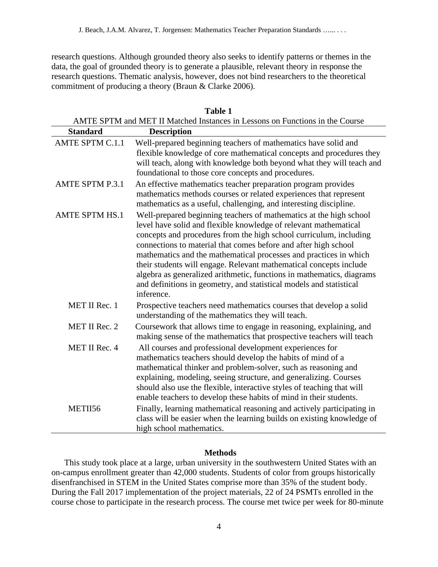research questions. Although grounded theory also seeks to identify patterns or themes in the data, the goal of grounded theory is to generate a plausible, relevant theory in response the research questions. Thematic analysis, however, does not bind researchers to the theoretical commitment of producing a theory (Braun & Clarke 2006).

| AMTE SPTM and MET II Matched Instances in Lessons on Functions in the Course |                                                                                                                                                                                                                                                                                                                                                                                                                                                                                                                                                                                          |  |  |  |
|------------------------------------------------------------------------------|------------------------------------------------------------------------------------------------------------------------------------------------------------------------------------------------------------------------------------------------------------------------------------------------------------------------------------------------------------------------------------------------------------------------------------------------------------------------------------------------------------------------------------------------------------------------------------------|--|--|--|
| <b>Standard</b>                                                              | <b>Description</b>                                                                                                                                                                                                                                                                                                                                                                                                                                                                                                                                                                       |  |  |  |
| AMTE SPTM C.1.1                                                              | Well-prepared beginning teachers of mathematics have solid and<br>flexible knowledge of core mathematical concepts and procedures they<br>will teach, along with knowledge both beyond what they will teach and<br>foundational to those core concepts and procedures.                                                                                                                                                                                                                                                                                                                   |  |  |  |
| <b>AMTE SPTM P.3.1</b>                                                       | An effective mathematics teacher preparation program provides<br>mathematics methods courses or related experiences that represent<br>mathematics as a useful, challenging, and interesting discipline.                                                                                                                                                                                                                                                                                                                                                                                  |  |  |  |
| <b>AMTE SPTM HS.1</b>                                                        | Well-prepared beginning teachers of mathematics at the high school<br>level have solid and flexible knowledge of relevant mathematical<br>concepts and procedures from the high school curriculum, including<br>connections to material that comes before and after high school<br>mathematics and the mathematical processes and practices in which<br>their students will engage. Relevant mathematical concepts include<br>algebra as generalized arithmetic, functions in mathematics, diagrams<br>and definitions in geometry, and statistical models and statistical<br>inference. |  |  |  |
| MET II Rec. 1                                                                | Prospective teachers need mathematics courses that develop a solid<br>understanding of the mathematics they will teach.                                                                                                                                                                                                                                                                                                                                                                                                                                                                  |  |  |  |
| MET II Rec. 2                                                                | Coursework that allows time to engage in reasoning, explaining, and<br>making sense of the mathematics that prospective teachers will teach                                                                                                                                                                                                                                                                                                                                                                                                                                              |  |  |  |
| MET II Rec. 4                                                                | All courses and professional development experiences for<br>mathematics teachers should develop the habits of mind of a<br>mathematical thinker and problem-solver, such as reasoning and<br>explaining, modeling, seeing structure, and generalizing. Courses<br>should also use the flexible, interactive styles of teaching that will<br>enable teachers to develop these habits of mind in their students.                                                                                                                                                                           |  |  |  |
| METII56                                                                      | Finally, learning mathematical reasoning and actively participating in<br>class will be easier when the learning builds on existing knowledge of<br>high school mathematics.                                                                                                                                                                                                                                                                                                                                                                                                             |  |  |  |

## **Table 1**

### **Methods**

This study took place at a large, urban university in the southwestern United States with an on-campus enrollment greater than 42,000 students. Students of color from groups historically disenfranchised in STEM in the United States comprise more than 35% of the student body. During the Fall 2017 implementation of the project materials, 22 of 24 PSMTs enrolled in the course chose to participate in the research process. The course met twice per week for 80-minute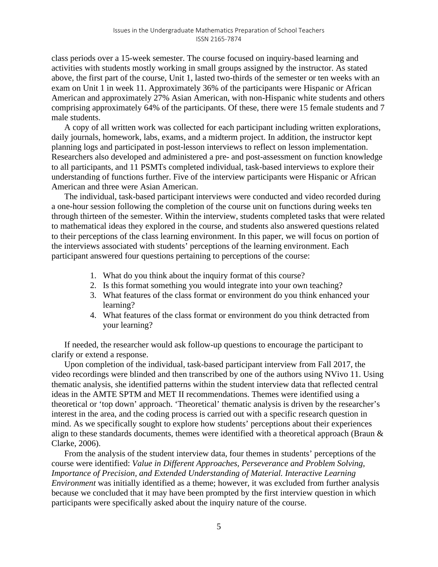class periods over a 15-week semester. The course focused on inquiry-based learning and activities with students mostly working in small groups assigned by the instructor. As stated above, the first part of the course, Unit 1, lasted two-thirds of the semester or ten weeks with an exam on Unit 1 in week 11. Approximately 36% of the participants were Hispanic or African American and approximately 27% Asian American, with non-Hispanic white students and others comprising approximately 64% of the participants. Of these, there were 15 female students and 7 male students.

A copy of all written work was collected for each participant including written explorations, daily journals, homework, labs, exams, and a midterm project. In addition, the instructor kept planning logs and participated in post-lesson interviews to reflect on lesson implementation. Researchers also developed and administered a pre- and post-assessment on function knowledge to all participants, and 11 PSMTs completed individual, task-based interviews to explore their understanding of functions further. Five of the interview participants were Hispanic or African American and three were Asian American.

The individual, task-based participant interviews were conducted and video recorded during a one-hour session following the completion of the course unit on functions during weeks ten through thirteen of the semester. Within the interview, students completed tasks that were related to mathematical ideas they explored in the course, and students also answered questions related to their perceptions of the class learning environment. In this paper, we will focus on portion of the interviews associated with students' perceptions of the learning environment. Each participant answered four questions pertaining to perceptions of the course:

- 1. What do you think about the inquiry format of this course?
- 2. Is this format something you would integrate into your own teaching?
- 3. What features of the class format or environment do you think enhanced your learning?
- 4. What features of the class format or environment do you think detracted from your learning?

If needed, the researcher would ask follow-up questions to encourage the participant to clarify or extend a response.

Upon completion of the individual, task-based participant interview from Fall 2017, the video recordings were blinded and then transcribed by one of the authors using NVivo 11. Using thematic analysis, she identified patterns within the student interview data that reflected central ideas in the AMTE SPTM and MET II recommendations. Themes were identified using a theoretical or 'top down' approach. 'Theoretical' thematic analysis is driven by the researcher's interest in the area, and the coding process is carried out with a specific research question in mind. As we specifically sought to explore how students' perceptions about their experiences align to these standards documents, themes were identified with a theoretical approach (Braun & Clarke, 2006).

From the analysis of the student interview data, four themes in students' perceptions of the course were identified: *Value in Different Approaches, Perseverance and Problem Solving, Importance of Precision, and Extended Understanding of Material. Interactive Learning Environment* was initially identified as a theme; however, it was excluded from further analysis because we concluded that it may have been prompted by the first interview question in which participants were specifically asked about the inquiry nature of the course.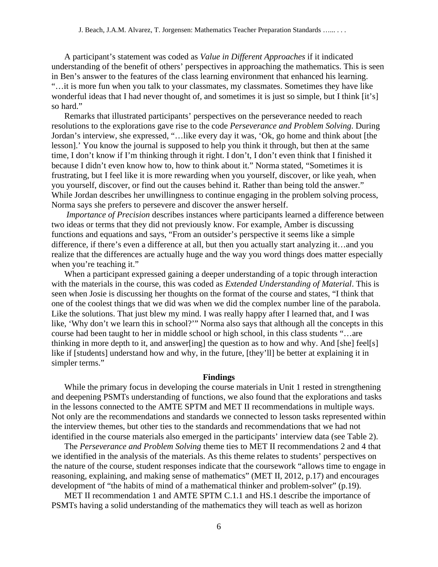A participant's statement was coded as *Value in Different Approaches* if it indicated understanding of the benefit of others' perspectives in approaching the mathematics. This is seen in Ben's answer to the features of the class learning environment that enhanced his learning. "…it is more fun when you talk to your classmates, my classmates. Sometimes they have like wonderful ideas that I had never thought of, and sometimes it is just so simple, but I think [it's] so hard."

Remarks that illustrated participants' perspectives on the perseverance needed to reach resolutions to the explorations gave rise to the code *Perseverance and Problem Solving*. During Jordan's interview, she expressed, "…like every day it was, 'Ok, go home and think about [the lesson].' You know the journal is supposed to help you think it through, but then at the same time, I don't know if I'm thinking through it right. I don't, I don't even think that I finished it because I didn't even know how to, how to think about it." Norma stated, "Sometimes it is frustrating, but I feel like it is more rewarding when you yourself, discover, or like yeah, when you yourself, discover, or find out the causes behind it. Rather than being told the answer." While Jordan describes her unwillingness to continue engaging in the problem solving process, Norma says she prefers to persevere and discover the answer herself.

*Importance of Precision* describes instances where participants learned a difference between two ideas or terms that they did not previously know. For example, Amber is discussing functions and equations and says, "From an outsider's perspective it seems like a simple difference, if there's even a difference at all, but then you actually start analyzing it…and you realize that the differences are actually huge and the way you word things does matter especially when you're teaching it."

When a participant expressed gaining a deeper understanding of a topic through interaction with the materials in the course, this was coded as *Extended Understanding of Material*. This is seen when Josie is discussing her thoughts on the format of the course and states, "I think that one of the coolest things that we did was when we did the complex number line of the parabola. Like the solutions. That just blew my mind. I was really happy after I learned that, and I was like, 'Why don't we learn this in school?'" Norma also says that although all the concepts in this course had been taught to her in middle school or high school, in this class students "…are thinking in more depth to it, and answer[ing] the question as to how and why. And [she] feel[s] like if [students] understand how and why, in the future, [they'll] be better at explaining it in simpler terms."

#### **Findings**

While the primary focus in developing the course materials in Unit 1 rested in strengthening and deepening PSMTs understanding of functions, we also found that the explorations and tasks in the lessons connected to the AMTE SPTM and MET II recommendations in multiple ways. Not only are the recommendations and standards we connected to lesson tasks represented within the interview themes, but other ties to the standards and recommendations that we had not identified in the course materials also emerged in the participants' interview data (see Table 2).

The *Perseverance and Problem Solving* theme ties to MET II recommendations 2 and 4 that we identified in the analysis of the materials. As this theme relates to students' perspectives on the nature of the course, student responses indicate that the coursework "allows time to engage in reasoning, explaining, and making sense of mathematics" (MET II, 2012, p.17) and encourages development of "the habits of mind of a mathematical thinker and problem-solver" (p.19).

MET II recommendation 1 and AMTE SPTM C.1.1 and HS.1 describe the importance of PSMTs having a solid understanding of the mathematics they will teach as well as horizon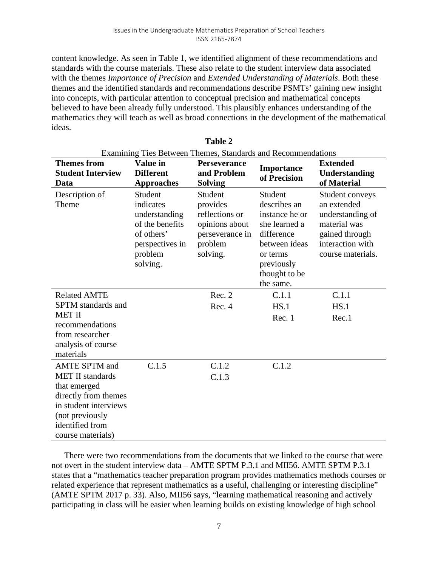content knowledge. As seen in Table 1, we identified alignment of these recommendations and standards with the course materials. These also relate to the student interview data associated with the themes *Importance of Precision* and *Extended Understanding of Materials*. Both these themes and the identified standards and recommendations describe PSMTs' gaining new insight into concepts, with particular attention to conceptual precision and mathematical concepts believed to have been already fully understood. This plausibly enhances understanding of the mathematics they will teach as well as broad connections in the development of the mathematical ideas.

| Examining Ties Between Themes, Standards and Recommendations                                                             |                                                                                                                  |                                                                                                   |                                                                                                                                                   |                                                                                                                               |  |
|--------------------------------------------------------------------------------------------------------------------------|------------------------------------------------------------------------------------------------------------------|---------------------------------------------------------------------------------------------------|---------------------------------------------------------------------------------------------------------------------------------------------------|-------------------------------------------------------------------------------------------------------------------------------|--|
| <b>Themes from</b><br><b>Student Interview</b><br>Data                                                                   | Value in<br><b>Different</b><br><b>Approaches</b>                                                                | <b>Perseverance</b><br>and Problem<br><b>Solving</b>                                              | <b>Importance</b><br>of Precision                                                                                                                 | <b>Extended</b><br>Understanding<br>of Material                                                                               |  |
| Description of<br>Theme                                                                                                  | Student<br>indicates<br>understanding<br>of the benefits<br>of others'<br>perspectives in<br>problem<br>solving. | Student<br>provides<br>reflections or<br>opinions about<br>perseverance in<br>problem<br>solving. | Student<br>describes an<br>instance he or<br>she learned a<br>difference<br>between ideas<br>or terms<br>previously<br>thought to be<br>the same. | Student conveys<br>an extended<br>understanding of<br>material was<br>gained through<br>interaction with<br>course materials. |  |
| <b>Related AMTE</b>                                                                                                      |                                                                                                                  | Rec. 2                                                                                            | C.1.1                                                                                                                                             | C.1.1                                                                                                                         |  |
| <b>SPTM</b> standards and<br><b>MET II</b>                                                                               |                                                                                                                  | Rec. 4                                                                                            | HS.1<br>Rec. 1                                                                                                                                    | HS.1<br>Rec.1                                                                                                                 |  |
| recommendations<br>from researcher<br>analysis of course<br>materials                                                    |                                                                                                                  |                                                                                                   |                                                                                                                                                   |                                                                                                                               |  |
| <b>AMTE SPTM</b> and<br><b>MET II</b> standards                                                                          | C.1.5                                                                                                            | C.1.2<br>C.1.3                                                                                    | C.1.2                                                                                                                                             |                                                                                                                               |  |
| that emerged<br>directly from themes<br>in student interviews<br>(not previously<br>identified from<br>course materials) |                                                                                                                  |                                                                                                   |                                                                                                                                                   |                                                                                                                               |  |

**Table 2**

There were two recommendations from the documents that we linked to the course that were not overt in the student interview data – AMTE SPTM P.3.1 and MII56. AMTE SPTM P.3.1 states that a "mathematics teacher preparation program provides mathematics methods courses or related experience that represent mathematics as a useful, challenging or interesting discipline" (AMTE SPTM 2017 p. 33). Also, MII56 says, "learning mathematical reasoning and actively participating in class will be easier when learning builds on existing knowledge of high school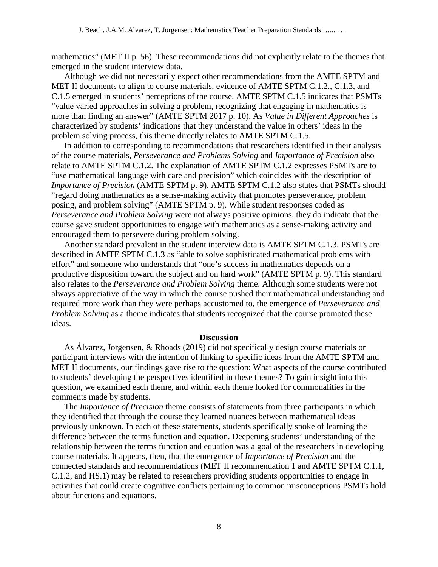mathematics" (MET II p. 56). These recommendations did not explicitly relate to the themes that emerged in the student interview data.

Although we did not necessarily expect other recommendations from the AMTE SPTM and MET II documents to align to course materials, evidence of AMTE SPTM C.1.2., C.1.3, and C.1.5 emerged in students' perceptions of the course. AMTE SPTM C.1.5 indicates that PSMTs "value varied approaches in solving a problem, recognizing that engaging in mathematics is more than finding an answer" (AMTE SPTM 2017 p. 10). As *Value in Different Approaches* is characterized by students' indications that they understand the value in others' ideas in the problem solving process, this theme directly relates to AMTE SPTM C.1.5.

In addition to corresponding to recommendations that researchers identified in their analysis of the course materials, *Perseverance and Problems Solving* and *Importance of Precision* also relate to AMTE SPTM C.1.2. The explanation of AMTE SPTM C.1.2 expresses PSMTs are to "use mathematical language with care and precision" which coincides with the description of *Importance of Precision* (AMTE SPTM p. 9). AMTE SPTM C.1.2 also states that PSMTs should "regard doing mathematics as a sense-making activity that promotes perseverance, problem posing, and problem solving" (AMTE SPTM p. 9). While student responses coded as *Perseverance and Problem Solving* were not always positive opinions, they do indicate that the course gave student opportunities to engage with mathematics as a sense-making activity and encouraged them to persevere during problem solving.

Another standard prevalent in the student interview data is AMTE SPTM C.1.3. PSMTs are described in AMTE SPTM C.1.3 as "able to solve sophisticated mathematical problems with effort" and someone who understands that "one's success in mathematics depends on a productive disposition toward the subject and on hard work" (AMTE SPTM p. 9). This standard also relates to the *Perseverance and Problem Solving* theme. Although some students were not always appreciative of the way in which the course pushed their mathematical understanding and required more work than they were perhaps accustomed to, the emergence of *Perseverance and Problem Solving* as a theme indicates that students recognized that the course promoted these ideas.

#### **Discussion**

As Álvarez, Jorgensen, & Rhoads (2019) did not specifically design course materials or participant interviews with the intention of linking to specific ideas from the AMTE SPTM and MET II documents, our findings gave rise to the question: What aspects of the course contributed to students' developing the perspectives identified in these themes? To gain insight into this question, we examined each theme, and within each theme looked for commonalities in the comments made by students.

The *Importance of Precision* theme consists of statements from three participants in which they identified that through the course they learned nuances between mathematical ideas previously unknown. In each of these statements, students specifically spoke of learning the difference between the terms function and equation. Deepening students' understanding of the relationship between the terms function and equation was a goal of the researchers in developing course materials. It appears, then, that the emergence of *Importance of Precision* and the connected standards and recommendations (MET II recommendation 1 and AMTE SPTM C.1.1, C.1.2, and HS.1) may be related to researchers providing students opportunities to engage in activities that could create cognitive conflicts pertaining to common misconceptions PSMTs hold about functions and equations.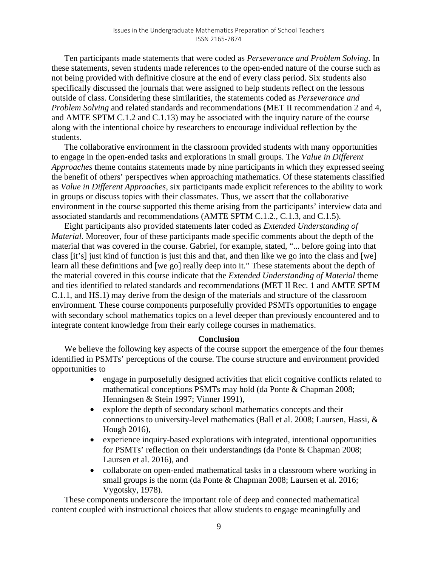Ten participants made statements that were coded as *Perseverance and Problem Solving*. In these statements, seven students made references to the open-ended nature of the course such as not being provided with definitive closure at the end of every class period. Six students also specifically discussed the journals that were assigned to help students reflect on the lessons outside of class. Considering these similarities, the statements coded as *Perseverance and Problem Solving* and related standards and recommendations (MET II recommendation 2 and 4, and AMTE SPTM C.1.2 and C.1.13) may be associated with the inquiry nature of the course along with the intentional choice by researchers to encourage individual reflection by the students.

The collaborative environment in the classroom provided students with many opportunities to engage in the open-ended tasks and explorations in small groups. The *Value in Different Approaches* theme contains statements made by nine participants in which they expressed seeing the benefit of others' perspectives when approaching mathematics. Of these statements classified as *Value in Different Approaches*, six participants made explicit references to the ability to work in groups or discuss topics with their classmates. Thus, we assert that the collaborative environment in the course supported this theme arising from the participants' interview data and associated standards and recommendations (AMTE SPTM C.1.2., C.1.3, and C.1.5).

Eight participants also provided statements later coded as *Extended Understanding of Material*. Moreover, four of these participants made specific comments about the depth of the material that was covered in the course. Gabriel, for example, stated, "... before going into that class [it's] just kind of function is just this and that, and then like we go into the class and [we] learn all these definitions and [we go] really deep into it." These statements about the depth of the material covered in this course indicate that the *Extended Understanding of Material* theme and ties identified to related standards and recommendations (MET II Rec. 1 and AMTE SPTM C.1.1, and HS.1) may derive from the design of the materials and structure of the classroom environment. These course components purposefully provided PSMTs opportunities to engage with secondary school mathematics topics on a level deeper than previously encountered and to integrate content knowledge from their early college courses in mathematics.

### **Conclusion**

We believe the following key aspects of the course support the emergence of the four themes identified in PSMTs' perceptions of the course. The course structure and environment provided opportunities to

- engage in purposefully designed activities that elicit cognitive conflicts related to mathematical conceptions PSMTs may hold (da Ponte & Chapman 2008; Henningsen & Stein 1997; Vinner 1991),
- explore the depth of secondary school mathematics concepts and their connections to university-level mathematics (Ball et al. 2008; Laursen, Hassi, & Hough 2016),
- experience inquiry-based explorations with integrated, intentional opportunities for PSMTs' reflection on their understandings (da Ponte & Chapman 2008; Laursen et al. 2016), and
- collaborate on open-ended mathematical tasks in a classroom where working in small groups is the norm (da Ponte & Chapman 2008; Laursen et al. 2016; Vygotsky, 1978).

These components underscore the important role of deep and connected mathematical content coupled with instructional choices that allow students to engage meaningfully and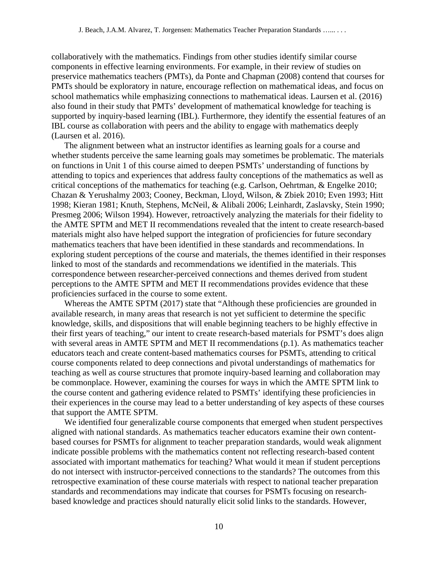collaboratively with the mathematics. Findings from other studies identify similar course components in effective learning environments. For example, in their review of studies on preservice mathematics teachers (PMTs), da Ponte and Chapman (2008) contend that courses for PMTs should be exploratory in nature, encourage reflection on mathematical ideas, and focus on school mathematics while emphasizing connections to mathematical ideas. Laursen et al. (2016) also found in their study that PMTs' development of mathematical knowledge for teaching is supported by inquiry-based learning (IBL). Furthermore, they identify the essential features of an IBL course as collaboration with peers and the ability to engage with mathematics deeply (Laursen et al. 2016).

The alignment between what an instructor identifies as learning goals for a course and whether students perceive the same learning goals may sometimes be problematic. The materials on functions in Unit 1 of this course aimed to deepen PSMTs' understanding of functions by attending to topics and experiences that address faulty conceptions of the mathematics as well as critical conceptions of the mathematics for teaching (e.g. Carlson, Oehrtman, & Engelke 2010; Chazan & Yerushalmy 2003; Cooney, Beckman, Lloyd, Wilson, & Zbiek 2010; Even 1993; Hitt 1998; Kieran 1981; Knuth, Stephens, McNeil, & Alibali 2006; Leinhardt, Zaslavsky, Stein 1990; Presmeg 2006; Wilson 1994). However, retroactively analyzing the materials for their fidelity to the AMTE SPTM and MET II recommendations revealed that the intent to create research-based materials might also have helped support the integration of proficiencies for future secondary mathematics teachers that have been identified in these standards and recommendations. In exploring student perceptions of the course and materials, the themes identified in their responses linked to most of the standards and recommendations we identified in the materials. This correspondence between researcher-perceived connections and themes derived from student perceptions to the AMTE SPTM and MET II recommendations provides evidence that these proficiencies surfaced in the course to some extent.

Whereas the AMTE SPTM (2017) state that "Although these proficiencies are grounded in available research, in many areas that research is not yet sufficient to determine the specific knowledge, skills, and dispositions that will enable beginning teachers to be highly effective in their first years of teaching," our intent to create research-based materials for PSMT's does align with several areas in AMTE SPTM and MET II recommendations (p.1). As mathematics teacher educators teach and create content-based mathematics courses for PSMTs, attending to critical course components related to deep connections and pivotal understandings of mathematics for teaching as well as course structures that promote inquiry-based learning and collaboration may be commonplace. However, examining the courses for ways in which the AMTE SPTM link to the course content and gathering evidence related to PSMTs' identifying these proficiencies in their experiences in the course may lead to a better understanding of key aspects of these courses that support the AMTE SPTM.

We identified four generalizable course components that emerged when student perspectives aligned with national standards. As mathematics teacher educators examine their own contentbased courses for PSMTs for alignment to teacher preparation standards, would weak alignment indicate possible problems with the mathematics content not reflecting research-based content associated with important mathematics for teaching? What would it mean if student perceptions do not intersect with instructor-perceived connections to the standards? The outcomes from this retrospective examination of these course materials with respect to national teacher preparation standards and recommendations may indicate that courses for PSMTs focusing on researchbased knowledge and practices should naturally elicit solid links to the standards. However,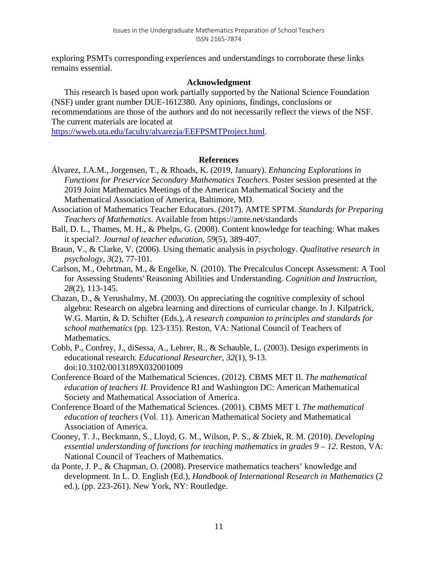exploring PSMTs corresponding experiences and understandings to corroborate these links remains essential.

## **Acknowledgment**

This research is based upon work partially supported by the National Science Foundation (NSF) under grant number DUE-1612380. Any opinions, findings, conclusions or recommendations are those of the authors and do not necessarily reflect the views of the NSF. The current materials are located at

[https://wweb.uta.edu/faculty/alvarezja/EEFPSMTProject.html.](https://wweb.uta.edu/faculty/alvarezja/EEFPSMTProject.html)

### **References**

- Álvarez, J.A.M., Jorgensen, T., & Rhoads, K. (2019, January). *Enhancing Explorations in Functions for Preservice Secondary Mathematics Teachers*. Poster session presented at the 2019 Joint Mathematics Meetings of the American Mathematical Society and the Mathematical Association of America, Baltimore, MD.
- Association of Mathematics Teacher Educators. (2017). AMTE SPTM. *Standards for Preparing Teachers of Mathematics*. Available from https://amte.net/standards
- Ball, D. L., Thames, M. H., & Phelps, G. (2008). Content knowledge for teaching: What makes it special?. *Journal of teacher education*, *59*(5), 389-407.
- Braun, V., & Clarke, V. (2006). Using thematic analysis in psychology. *Qualitative research in psychology*, *3*(2), 77-101.
- Carlson, M., Oehrtman, M., & Engelke, N. (2010). The Precalculus Concept Assessment: A Tool for Assessing Students' Reasoning Abilities and Understanding. *Cognition and Instruction, 28*(2), 113-145.
- Chazan, D., & Yerushalmy, M. (2003). On appreciating the cognitive complexity of school algebra: Research on algebra learning and directions of curricular change. In J. Kilpatrick, W.G. Martin, & D. Schifter (Eds.), *A research companion to principles and standards for school mathematics* (pp. 123-135). Reston, VA: National Council of Teachers of Mathematics.
- Cobb, P., Confrey, J., diSessa, A., Lehrer, R., & Schauble, L. (2003). Design experiments in educational research. *Educational Researcher, 32*(1), 9-13. doi:10.3102/0013189X032001009
- Conference Board of the Mathematical Sciences. (2012). CBMS MET II. *The mathematical education of teachers II.* Providence RI and Washington DC: American Mathematical Society and Mathematical Association of America.
- Conference Board of the Mathematical Sciences. (2001). CBMS MET I. *The mathematical education of teachers* (Vol. 11). American Mathematical Society and Mathematical Association of America.
- Cooney, T. J., Beckmann, S., Lloyd, G. M., Wilson, P. S., & Zbiek, R. M. (2010). *Developing essential understanding of functions for teaching mathematics in grades 9 – 12.* Reston, VA: National Council of Teachers of Mathematics.
- da Ponte, J. P., & Chapman, O. (2008). Preservice mathematics teachers' knowledge and development. In L. D. English (Ed.), *Handbook of International Research in Mathematics* (2 ed.), (pp. 223-261). New York, NY: Routledge.